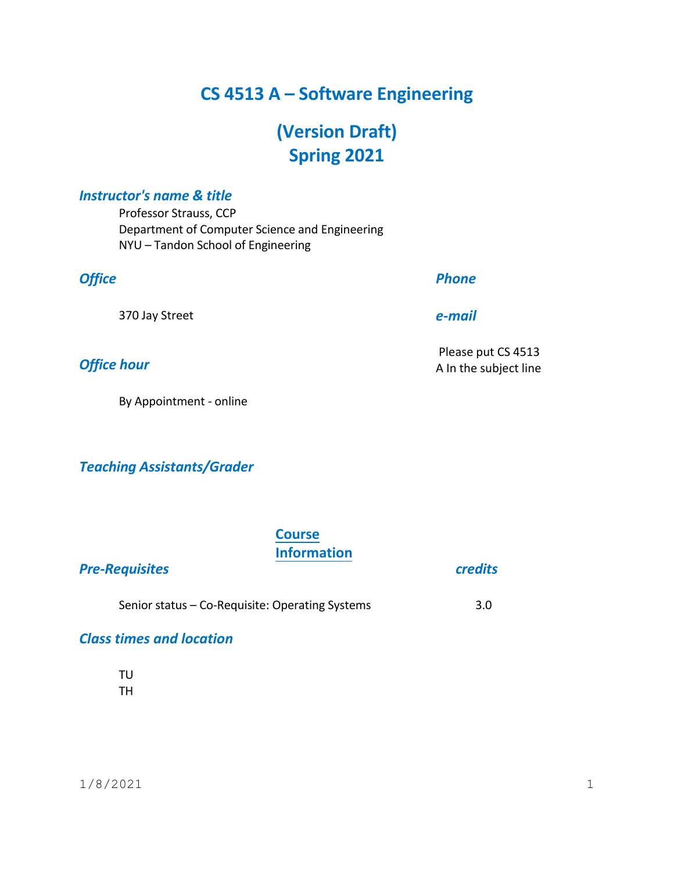## **CS 4513 A – Software Engineering**

# **(Version Draft) Spring 2021**

#### *Instructor's name & title*

Professor Strauss, CCP Department of Computer Science and Engineering NYU – Tandon School of Engineering

#### *Office* 370 Jay Street *Phone e-mail*

Please put CS 4513 A In the subject line

By Appointment - online

*Teaching Assistants/Grader*

*Office hour*

| <b>Course</b>      |
|--------------------|
| <b>Information</b> |

# *Pre-Requisites credits*

Senior status – Co-Requisite: Operating Systems 3.0

## *Class times and location*

TU TH

1/8/2021 1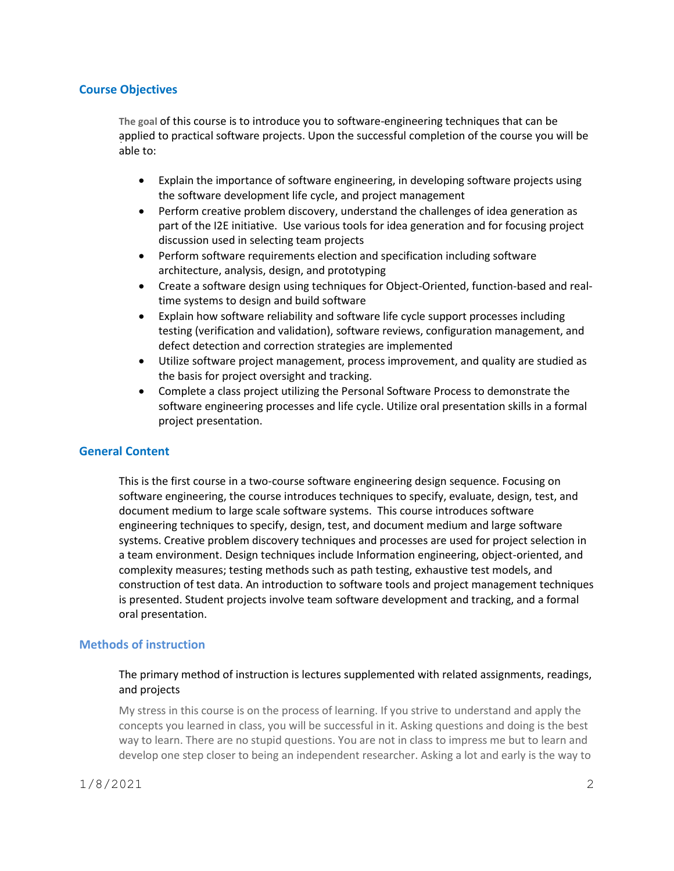#### **Course Objectives**

**The goal** of this course is to introduce you to software-engineering techniques that can be applied to practical software projects. Upon the successful completion of the course you will be able to:

- Explain the importance of software engineering, in developing software projects using the software development life cycle, and project management
- Perform creative problem discovery, understand the challenges of idea generation as part of the I2E initiative. Use various tools for idea generation and for focusing project discussion used in selecting team projects
- Perform software requirements election and specification including software architecture, analysis, design, and prototyping
- Create a software design using techniques for Object-Oriented, function-based and realtime systems to design and build software
- Explain how software reliability and software life cycle support processes including testing (verification and validation), software reviews, configuration management, and defect detection and correction strategies are implemented
- Utilize software project management, process improvement, and quality are studied as the basis for project oversight and tracking.
- Complete a class project utilizing the Personal Software Process to demonstrate the software engineering processes and life cycle. Utilize oral presentation skills in a formal project presentation.

#### **General Content**

This is the first course in a two-course software engineering design sequence. Focusing on software engineering, the course introduces techniques to specify, evaluate, design, test, and document medium to large scale software systems. This course introduces software engineering techniques to specify, design, test, and document medium and large software systems. Creative problem discovery techniques and processes are used for project selection in a team environment. Design techniques include Information engineering, object-oriented, and complexity measures; testing methods such as path testing, exhaustive test models, and construction of test data. An introduction to software tools and project management techniques is presented. Student projects involve team software development and tracking, and a formal oral presentation.

#### **Methods of instruction**

#### The primary method of instruction is lectures supplemented with related assignments, readings, and projects

My stress in this course is on the process of learning. If you strive to understand and apply the concepts you learned in class, you will be successful in it. Asking questions and doing is the best way to learn. There are no stupid questions. You are not in class to impress me but to learn and develop one step closer to being an independent researcher. Asking a lot and early is the way to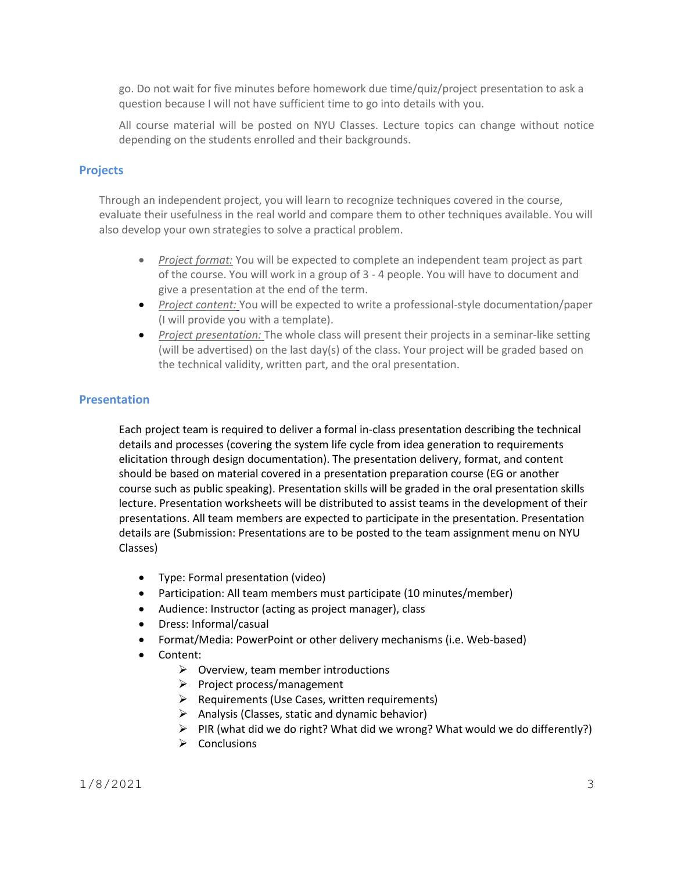go. Do not wait for five minutes before homework due time/quiz/project presentation to ask a question because I will not have sufficient time to go into details with you.

All course material will be posted on NYU Classes. Lecture topics can change without notice depending on the students enrolled and their backgrounds.

#### **Projects**

Through an independent project, you will learn to recognize techniques covered in the course, evaluate their usefulness in the real world and compare them to other techniques available. You will also develop your own strategies to solve a practical problem.

- *Project format:* You will be expected to complete an independent team project as part of the course. You will work in a group of 3 - 4 people. You will have to document and give a presentation at the end of the term.
- *Project content:* You will be expected to write a professional-style documentation/paper (I will provide you with a template).
- *Project presentation:* The whole class will present their projects in a seminar-like setting (will be advertised) on the last day(s) of the class. Your project will be graded based on the technical validity, written part, and the oral presentation.

#### **Presentation**

Each project team is required to deliver a formal in-class presentation describing the technical details and processes (covering the system life cycle from idea generation to requirements elicitation through design documentation). The presentation delivery, format, and content should be based on material covered in a presentation preparation course (EG or another course such as public speaking). Presentation skills will be graded in the oral presentation skills lecture. Presentation worksheets will be distributed to assist teams in the development of their presentations. All team members are expected to participate in the presentation. Presentation details are (Submission: Presentations are to be posted to the team assignment menu on NYU Classes)

- Type: Formal presentation (video)
- Participation: All team members must participate (10 minutes/member)
- Audience: Instructor (acting as project manager), class
- Dress: Informal/casual
- Format/Media: PowerPoint or other delivery mechanisms (i.e. Web-based)
- Content:
	- $\triangleright$  Overview, team member introductions
	- ➢ Project process/management
	- $\triangleright$  Requirements (Use Cases, written requirements)
	- $\triangleright$  Analysis (Classes, static and dynamic behavior)
	- ➢ PIR (what did we do right? What did we wrong? What would we do differently?)
	- $\triangleright$  Conclusions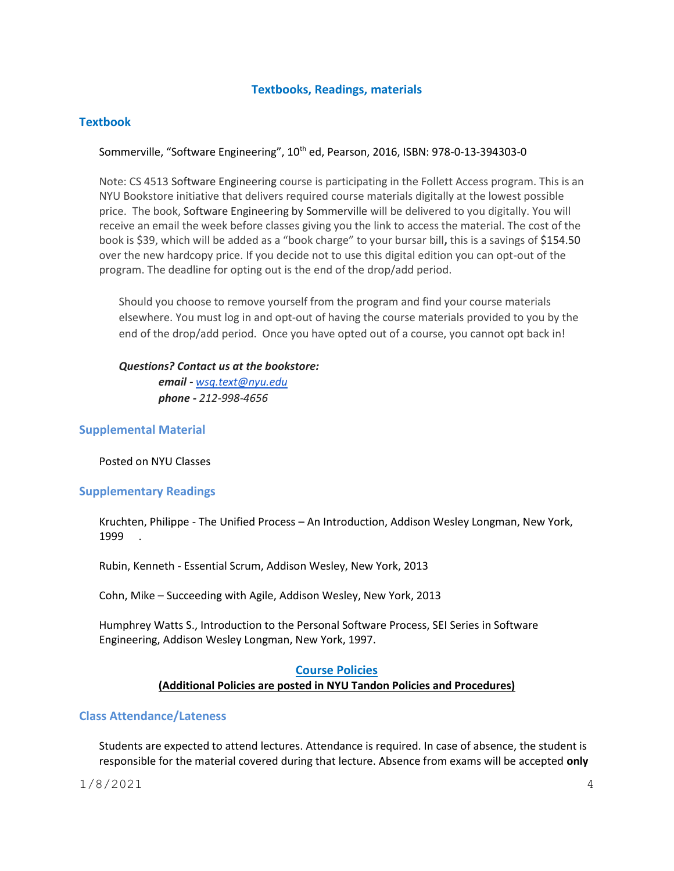#### **Textbooks, Readings, materials**

#### **Textbook**

Sommerville, "Software Engineering", 10<sup>th</sup> ed, Pearson, 2016, ISBN: 978-0-13-394303-0

Note: CS 4513 Software Engineering course is participating in the Follett Access program. This is an NYU Bookstore initiative that delivers required course materials digitally at the lowest possible price. The book, Software Engineering by Sommerville will be delivered to you digitally. You will receive an email the week before classes giving you the link to access the material. The cost of the book is \$39, which will be added as a "book charge" to your bursar bill**,** this is a savings of \$154.50 over the new hardcopy price. If you decide not to use this digital edition you can opt-out of the program. The deadline for opting out is the end of the drop/add period.

Should you choose to remove yourself from the program and find your course materials elsewhere. You must log in and opt-out of having the course materials provided to you by the end of the drop/add period. Once you have opted out of a course, you cannot opt back in!

#### *Questions? Contact us at the bookstore:*

*email - [wsq.text@nyu.edu](mailto:wsq.text@nyu.edu) phone - 212-998-4656*

#### **Supplemental Material**

Posted on NYU Classes

#### **Supplementary Readings**

Kruchten, Philippe - The Unified Process – An Introduction, Addison Wesley Longman, New York, 1999 .

Rubin, Kenneth - Essential Scrum, Addison Wesley, New York, 2013

Cohn, Mike – Succeeding with Agile, Addison Wesley, New York, 2013

Humphrey Watts S., Introduction to the Personal Software Process, SEI Series in Software Engineering, Addison Wesley Longman, New York, 1997.

#### **Course Policies**

#### **(Additional Policies are posted in NYU Tandon Policies and Procedures)**

#### **Class Attendance/Lateness**

Students are expected to attend lectures. Attendance is required. In case of absence, the student is responsible for the material covered during that lecture. Absence from exams will be accepted **only**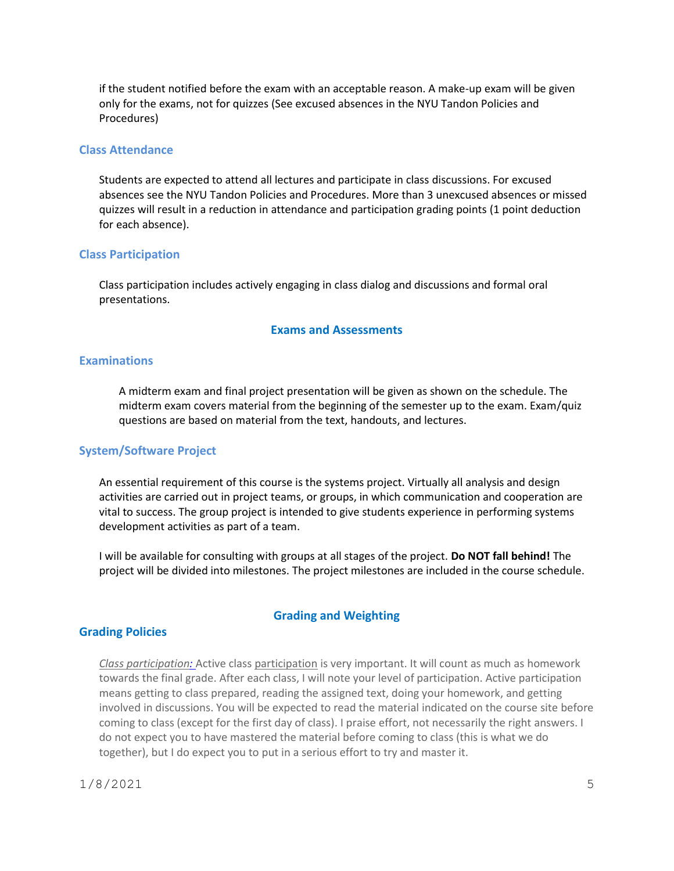if the student notified before the exam with an acceptable reason. A make-up exam will be given only for the exams, not for quizzes (See excused absences in the NYU Tandon Policies and Procedures)

#### **Class Attendance**

Students are expected to attend all lectures and participate in class discussions. For excused absences see the NYU Tandon Policies and Procedures. More than 3 unexcused absences or missed quizzes will result in a reduction in attendance and participation grading points (1 point deduction for each absence).

#### **Class Participation**

Class participation includes actively engaging in class dialog and discussions and formal oral presentations.

#### **Exams and Assessments**

#### **Examinations**

A midterm exam and final project presentation will be given as shown on the schedule. The midterm exam covers material from the beginning of the semester up to the exam. Exam/quiz questions are based on material from the text, handouts, and lectures.

#### **System/Software Project**

An essential requirement of this course is the systems project. Virtually all analysis and design activities are carried out in project teams, or groups, in which communication and cooperation are vital to success. The group project is intended to give students experience in performing systems development activities as part of a team.

I will be available for consulting with groups at all stages of the project. **Do NOT fall behind!** The project will be divided into milestones. The project milestones are included in the course schedule.

#### **Grading and Weighting**

#### **Grading Policies**

*Class participation:* Active class participation is very important. It will count as much as homework towards the final grade. After each class, I will note your level of participation. Active participation means getting to class prepared, reading the assigned text, doing your homework, and getting involved in discussions. You will be expected to read the material indicated on the course site before coming to class (except for the first day of class). I praise effort, not necessarily the right answers. I do not expect you to have mastered the material before coming to class (this is what we do together), but I do expect you to put in a serious effort to try and master it.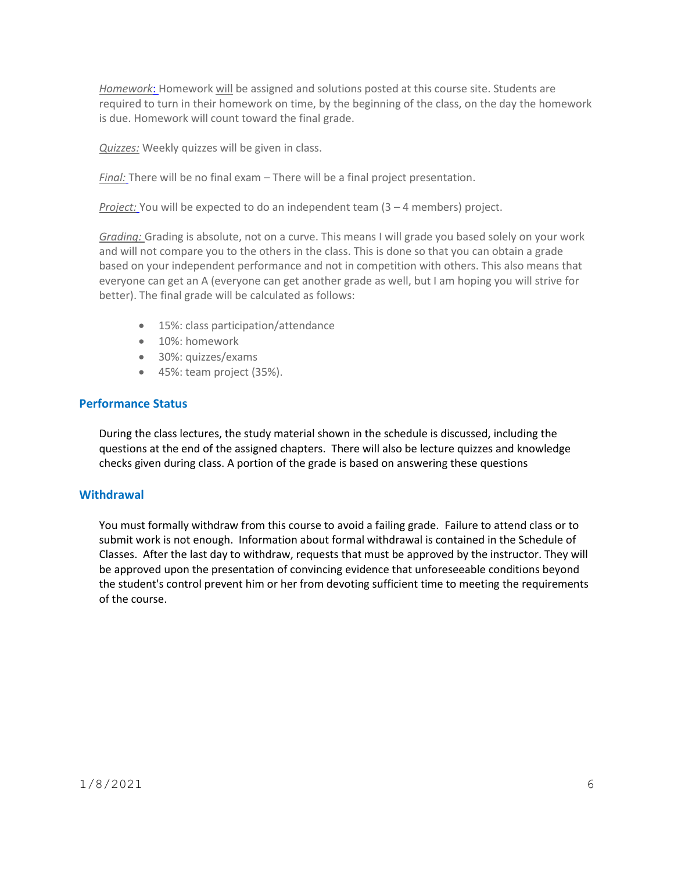*Homework*: Homework will be assigned and solutions posted at this course site. Students are required to turn in their homework on time, by the beginning of the class, on the day the homework is due. Homework will count toward the final grade.

*Quizzes:* Weekly quizzes will be given in class.

*Final:* There will be no final exam – There will be a final project presentation.

*Project:* You will be expected to do an independent team (3 – 4 members) project.

*Grading:* Grading is absolute, not on a curve. This means I will grade you based solely on your work and will not compare you to the others in the class. This is done so that you can obtain a grade based on your independent performance and not in competition with others. This also means that everyone can get an A (everyone can get another grade as well, but I am hoping you will strive for better). The final grade will be calculated as follows:

- 15%: class participation/attendance
- 10%: homework
- 30%: quizzes/exams
- 45%: team project (35%).

#### **Performance Status**

During the class lectures, the study material shown in the schedule is discussed, including the questions at the end of the assigned chapters. There will also be lecture quizzes and knowledge checks given during class. A portion of the grade is based on answering these questions

#### **Withdrawal**

You must formally withdraw from this course to avoid a failing grade. Failure to attend class or to submit work is not enough. Information about formal withdrawal is contained in the Schedule of Classes. After the last day to withdraw, requests that must be approved by the instructor. They will be approved upon the presentation of convincing evidence that unforeseeable conditions beyond the student's control prevent him or her from devoting sufficient time to meeting the requirements of the course.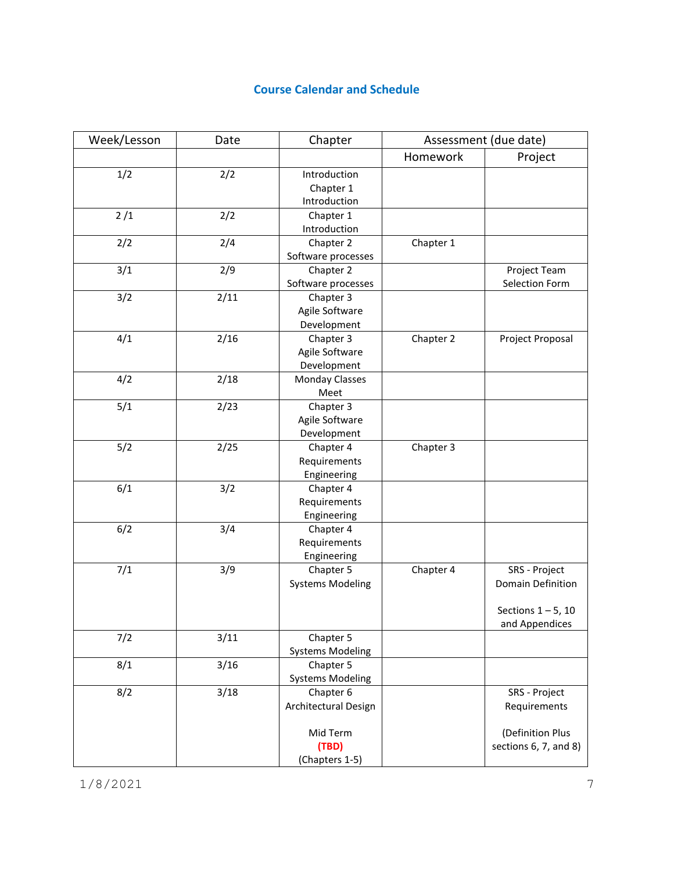#### **Course Calendar and Schedule**

| Week/Lesson | Date | Chapter                 | Assessment (due date) |                       |
|-------------|------|-------------------------|-----------------------|-----------------------|
|             |      |                         | Homework              | Project               |
| 1/2         | 2/2  | Introduction            |                       |                       |
|             |      | Chapter 1               |                       |                       |
|             |      | Introduction            |                       |                       |
| 2/1         | 2/2  | Chapter 1               |                       |                       |
|             |      | Introduction            |                       |                       |
| 2/2         | 2/4  | Chapter 2               | Chapter 1             |                       |
|             |      | Software processes      |                       |                       |
| 3/1         | 2/9  | Chapter 2               |                       | Project Team          |
|             |      | Software processes      |                       | Selection Form        |
| 3/2         | 2/11 | Chapter 3               |                       |                       |
|             |      | Agile Software          |                       |                       |
|             |      | Development             |                       |                       |
| 4/1         | 2/16 | Chapter 3               | Chapter 2             | Project Proposal      |
|             |      | Agile Software          |                       |                       |
|             |      | Development             |                       |                       |
| 4/2         | 2/18 | <b>Monday Classes</b>   |                       |                       |
|             |      | Meet                    |                       |                       |
| 5/1         | 2/23 | Chapter 3               |                       |                       |
|             |      | Agile Software          |                       |                       |
|             |      | Development             |                       |                       |
| 5/2         | 2/25 | Chapter 4               | Chapter 3             |                       |
|             |      | Requirements            |                       |                       |
|             |      | Engineering             |                       |                       |
| 6/1         | 3/2  | Chapter 4               |                       |                       |
|             |      | Requirements            |                       |                       |
|             |      | Engineering             |                       |                       |
| 6/2         | 3/4  | Chapter 4               |                       |                       |
|             |      | Requirements            |                       |                       |
|             |      | Engineering             |                       |                       |
| 7/1         | 3/9  | Chapter 5               | Chapter 4             | SRS - Project         |
|             |      | <b>Systems Modeling</b> |                       | Domain Definition     |
|             |      |                         |                       |                       |
|             |      |                         |                       | Sections $1 - 5$ , 10 |
|             |      |                         |                       | and Appendices        |
| 7/2         | 3/11 | Chapter 5               |                       |                       |
|             |      | <b>Systems Modeling</b> |                       |                       |
| 8/1         | 3/16 | Chapter 5               |                       |                       |
|             |      | <b>Systems Modeling</b> |                       |                       |
| 8/2         | 3/18 | Chapter 6               |                       | SRS - Project         |
|             |      | Architectural Design    |                       | Requirements          |
|             |      |                         |                       |                       |
|             |      | Mid Term                |                       | (Definition Plus      |
|             |      | (TBD)                   |                       | sections 6, 7, and 8) |
|             |      | (Chapters 1-5)          |                       |                       |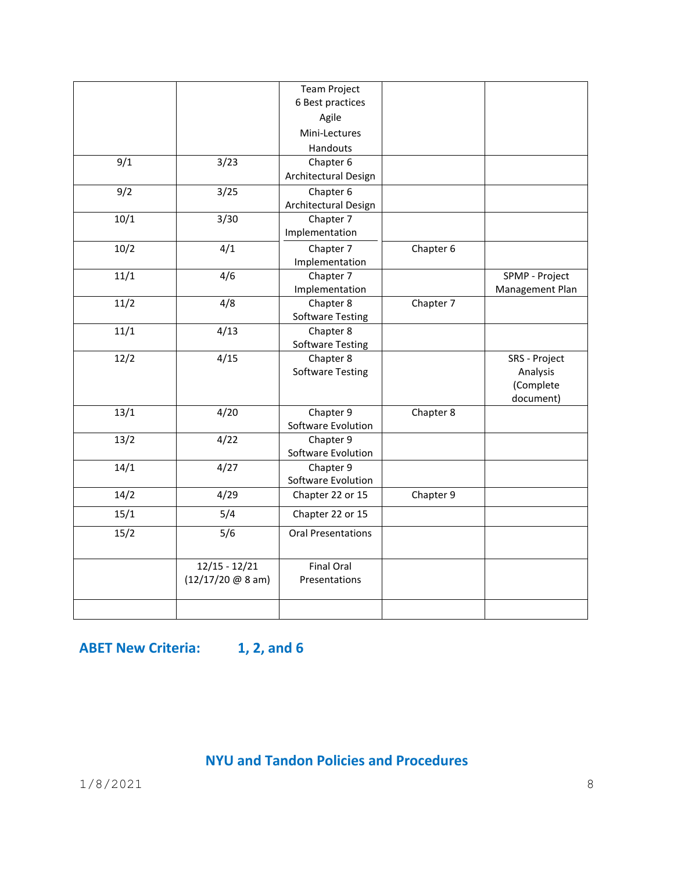|      |                                      | <b>Team Project</b>                |           |                       |
|------|--------------------------------------|------------------------------------|-----------|-----------------------|
|      |                                      | 6 Best practices                   |           |                       |
|      |                                      | Agile                              |           |                       |
|      |                                      | Mini-Lectures                      |           |                       |
|      |                                      | Handouts                           |           |                       |
| 9/1  | 3/23                                 | Chapter 6                          |           |                       |
|      |                                      | Architectural Design               |           |                       |
| 9/2  | 3/25                                 | Chapter 6                          |           |                       |
|      |                                      | Architectural Design               |           |                       |
| 10/1 | 3/30                                 | Chapter 7                          |           |                       |
|      |                                      | Implementation                     |           |                       |
| 10/2 | 4/1                                  | Chapter 7                          | Chapter 6 |                       |
|      |                                      | Implementation                     |           |                       |
| 11/1 | 4/6                                  | Chapter 7                          |           | SPMP - Project        |
|      |                                      | Implementation                     |           | Management Plan       |
| 11/2 | 4/8                                  | Chapter 8                          | Chapter 7 |                       |
|      |                                      | <b>Software Testing</b>            |           |                       |
| 11/1 | 4/13                                 | Chapter 8                          |           |                       |
|      |                                      | <b>Software Testing</b>            |           |                       |
| 12/2 | 4/15                                 | Chapter 8                          |           | SRS - Project         |
|      |                                      | <b>Software Testing</b>            |           | Analysis<br>(Complete |
|      |                                      |                                    |           | document)             |
| 13/1 | 4/20                                 | Chapter 9                          | Chapter 8 |                       |
|      |                                      | Software Evolution                 |           |                       |
| 13/2 | 4/22                                 | Chapter 9                          |           |                       |
|      |                                      | Software Evolution                 |           |                       |
| 14/1 | 4/27                                 | Chapter 9                          |           |                       |
|      |                                      | Software Evolution                 |           |                       |
| 14/2 | 4/29                                 | Chapter 22 or 15                   | Chapter 9 |                       |
| 15/1 | 5/4                                  | Chapter 22 or 15                   |           |                       |
| 15/2 | 5/6                                  | <b>Oral Presentations</b>          |           |                       |
|      |                                      |                                    |           |                       |
|      | $12/15 - 12/21$<br>(12/17/20 @ 8 am) | <b>Final Oral</b><br>Presentations |           |                       |
|      |                                      |                                    |           |                       |
|      |                                      |                                    |           |                       |

**ABET New Criteria: 1, 2, and 6**

### **NYU and Tandon Policies and Procedures**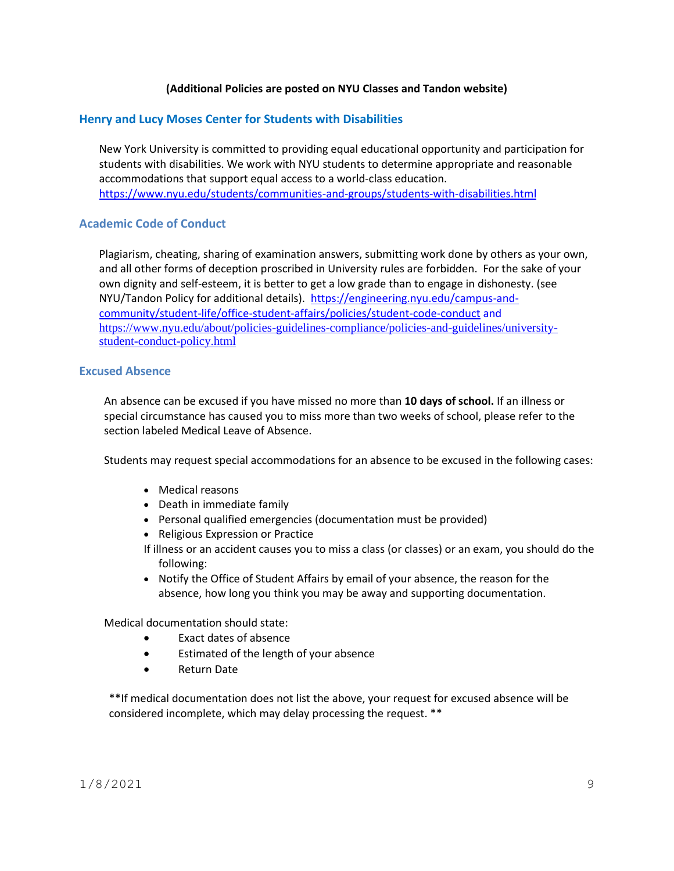#### **(Additional Policies are posted on NYU Classes and Tandon website)**

#### **Henry and Lucy Moses Center for Students with Disabilities**

New York University is committed to providing equal educational opportunity and participation for students with disabilities. We work with NYU students to determine appropriate and reasonable accommodations that support equal access to a world-class education. <https://www.nyu.edu/students/communities-and-groups/students-with-disabilities.html>

#### **Academic Code of Conduct**

Plagiarism, cheating, sharing of examination answers, submitting work done by others as your own, and all other forms of deception proscribed in University rules are forbidden. For the sake of your own dignity and self-esteem, it is better to get a low grade than to engage in dishonesty. (see NYU/Tandon Policy for additional details).[https://engineering.nyu.edu/campus-and](https://engineering.nyu.edu/campus-and-community/student-life/office-student-affairs/policies/student-code-conduct)[community/student-life/office-student-affairs/policies/student-code-conduct](https://engineering.nyu.edu/campus-and-community/student-life/office-student-affairs/policies/student-code-conduct) and [https://www.nyu.edu/about/policies-guidelines-compliance/policies-and-guidelines/university](https://www.nyu.edu/about/policies-guidelines-compliance/policies-and-guidelines/university-student-conduct-policy.html)[student-conduct-policy.html](https://www.nyu.edu/about/policies-guidelines-compliance/policies-and-guidelines/university-student-conduct-policy.html)

#### **Excused Absence**

An absence can be excused if you have missed no more than **10 days of school.** If an illness or special circumstance has caused you to miss more than two weeks of school, please refer to the section labeled Medical Leave of Absence.

Students may request special accommodations for an absence to be excused in the following cases:

- Medical reasons
- Death in immediate family
- Personal qualified emergencies (documentation must be provided)
- Religious Expression or Practice
- If illness or an accident causes you to miss a class (or classes) or an exam, you should do the following:
- Notify the Office of Student Affairs by email of your absence, the reason for the absence, how long you think you may be away and supporting documentation.

Medical documentation should state:

- Exact dates of absence
- Estimated of the length of your absence
- Return Date

\*\*If medical documentation does not list the above, your request for excused absence will be considered incomplete, which may delay processing the request. \*\*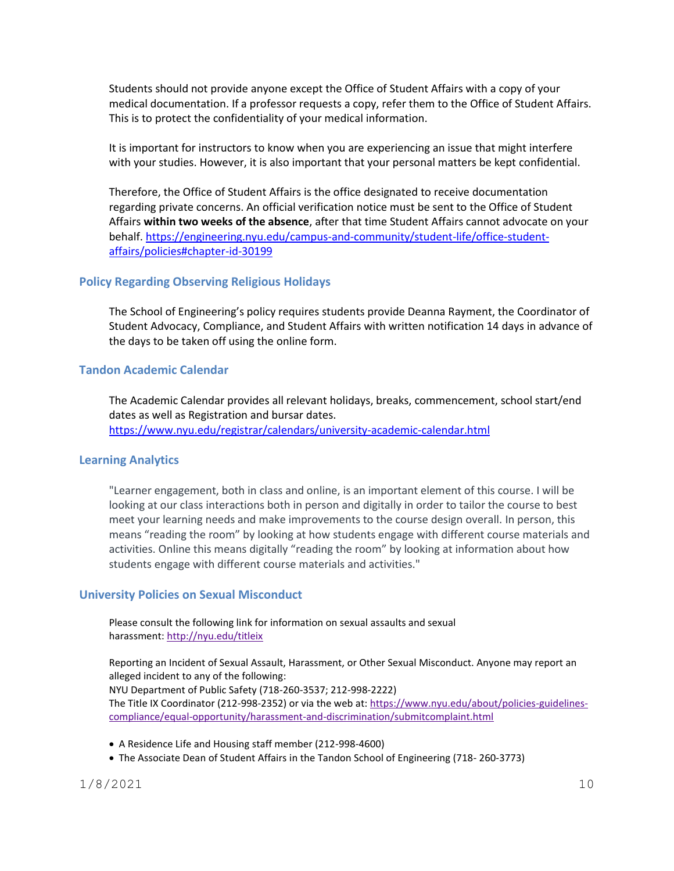Students should not provide anyone except the Office of Student Affairs with a copy of your medical documentation. If a professor requests a copy, refer them to the Office of Student Affairs. This is to protect the confidentiality of your medical information.

It is important for instructors to know when you are experiencing an issue that might interfere with your studies. However, it is also important that your personal matters be kept confidential.

Therefore, the Office of Student Affairs is the office designated to receive documentation regarding private concerns. An official verification notice must be sent to the Office of Student Affairs **within two weeks of the absence**, after that time Student Affairs cannot advocate on your behalf[. https://engineering.nyu.edu/campus-and-community/student-life/office-student](https://engineering.nyu.edu/campus-and-community/student-life/office-student-affairs/policies#chapter-id-30199)[affairs/policies#chapter-id-30199](https://engineering.nyu.edu/campus-and-community/student-life/office-student-affairs/policies#chapter-id-30199)

#### **[Policy Regarding Observing Religious Holidays](http://www.nyu.edu/about/policies-guidelines-compliance/policies-and-guidelines/university-calendar-policy-on-religious-holidays.html)**

The School of Engineering's policy requires students provide Deanna Rayment, the Coordinator of Student Advocacy, Compliance, and Student Affairs with written notification 14 days in advance of the days to be taken off using the online form.

#### **Tandon Academic Calendar**

The Academic Calendar provides all relevant holidays, breaks, commencement, school start/end dates as well as Registration and bursar dates. <https://www.nyu.edu/registrar/calendars/university-academic-calendar.html>

#### **Learning Analytics**

"Learner engagement, both in class and online, is an important element of this course. I will be looking at our class interactions both in person and digitally in order to tailor the course to best meet your learning needs and make improvements to the course design overall. In person, this means "reading the room" by looking at how students engage with different course materials and activities. Online this means digitally "reading the room" by looking at information about how students engage with different course materials and activities."

#### **University Policies on Sexual Misconduct**

Please consult the following link for information on sexual assaults and sexual harassment: [http://nyu.edu/titleix](https://www.nyu.edu/about/policies-guidelines-compliance/equal-opportunity/title9.html)

Reporting an Incident of Sexual Assault, Harassment, or Other Sexual Misconduct. Anyone may report an alleged incident to any of the following:

NYU Department of Public Safety (718-260-3537; 212-998-2222) The Title IX Coordinator (212-998-2352) or via the web at: [https://www.nyu.edu/about/policies-guidelines](https://www.nyu.edu/about/policies-guidelines-compliance/equal-opportunity/harassment-and-discrimination/submitcomplaint.html)[compliance/equal-opportunity/harassment-and-discrimination/submitcomplaint.html](https://www.nyu.edu/about/policies-guidelines-compliance/equal-opportunity/harassment-and-discrimination/submitcomplaint.html)

- A Residence Life and Housing staff member (212-998-4600)
- The Associate Dean of Student Affairs in the Tandon School of Engineering (718- 260-3773)